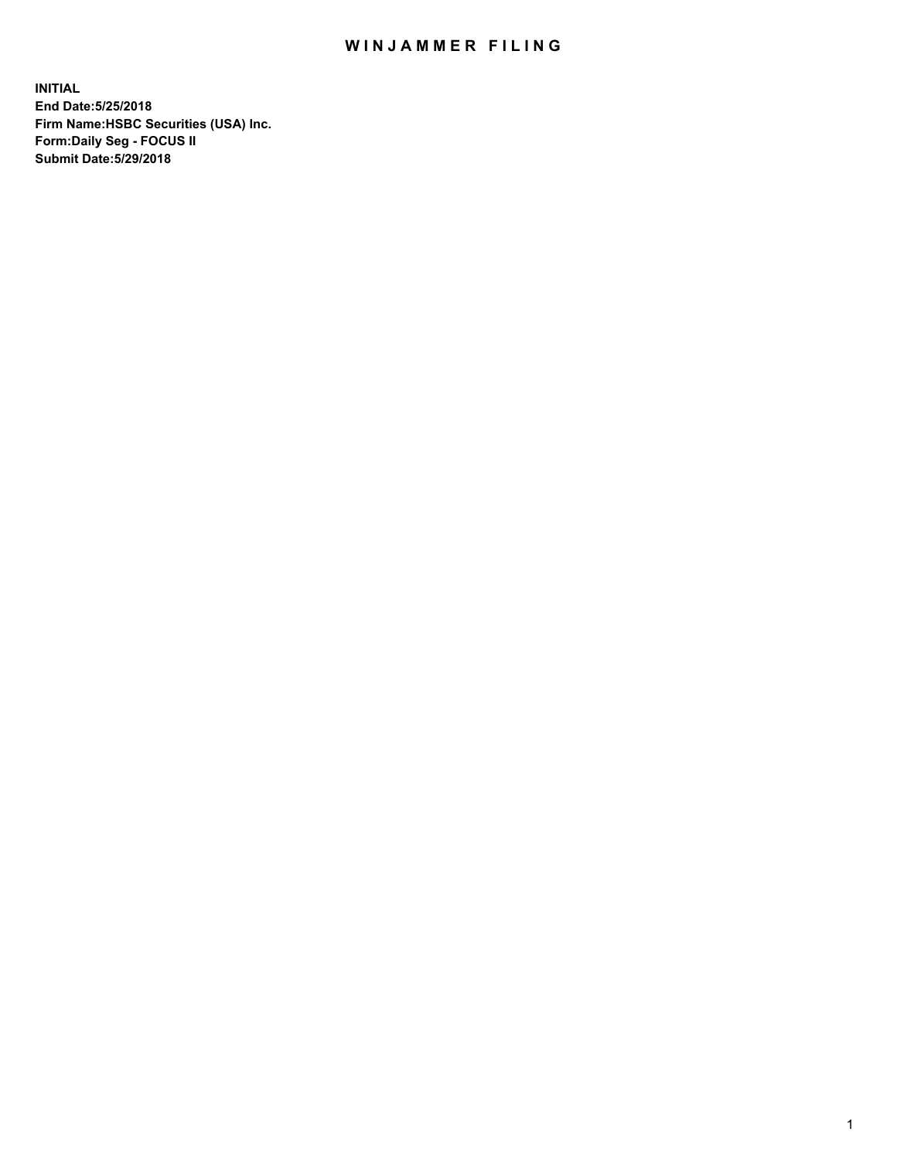## WIN JAMMER FILING

**INITIAL End Date:5/25/2018 Firm Name:HSBC Securities (USA) Inc. Form:Daily Seg - FOCUS II Submit Date:5/29/2018**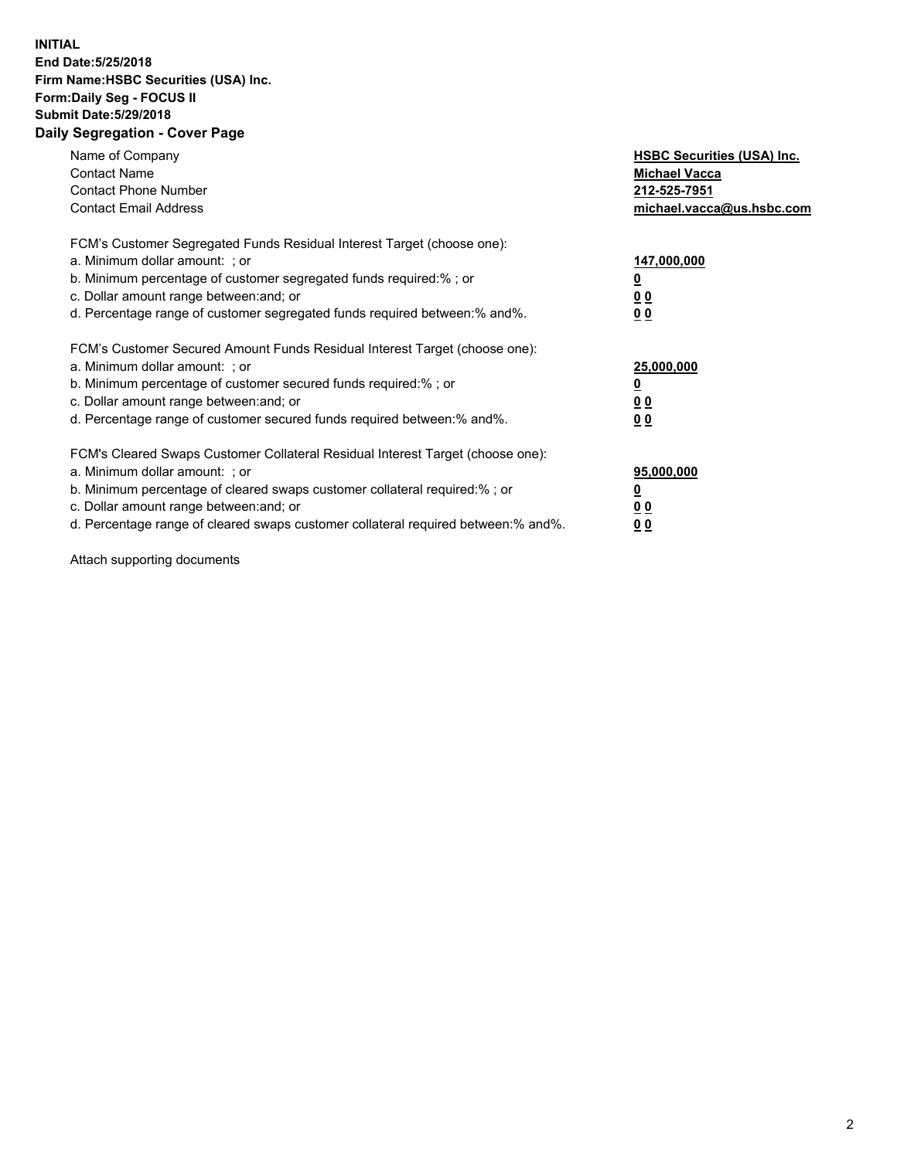## **INITIAL End Date:5/25/2018 Firm Name:HSBC Securities (USA) Inc. Form:Daily Seg - FOCUS II Submit Date:5/29/2018 Daily Segregation - Cover Page**

| Name of Company<br><b>Contact Name</b><br><b>Contact Phone Number</b><br><b>Contact Email Address</b>                                                                                                                                                                                                                         | <b>HSBC Securities (USA) Inc.</b><br><b>Michael Vacca</b><br>212-525-7951<br>michael.vacca@us.hsbc.com |
|-------------------------------------------------------------------------------------------------------------------------------------------------------------------------------------------------------------------------------------------------------------------------------------------------------------------------------|--------------------------------------------------------------------------------------------------------|
| FCM's Customer Segregated Funds Residual Interest Target (choose one):<br>a. Minimum dollar amount: ; or<br>b. Minimum percentage of customer segregated funds required:%; or<br>c. Dollar amount range between: and; or<br>d. Percentage range of customer segregated funds required between: % and %.                       | 147,000,000<br><u>0</u><br><u>00</u><br><u>00</u>                                                      |
| FCM's Customer Secured Amount Funds Residual Interest Target (choose one):<br>a. Minimum dollar amount: ; or<br>b. Minimum percentage of customer secured funds required:%; or<br>c. Dollar amount range between: and; or<br>d. Percentage range of customer secured funds required between: % and %.                         | 25,000,000<br><u>0</u><br><u>00</u><br>00                                                              |
| FCM's Cleared Swaps Customer Collateral Residual Interest Target (choose one):<br>a. Minimum dollar amount: ; or<br>b. Minimum percentage of cleared swaps customer collateral required:%; or<br>c. Dollar amount range between: and; or<br>d. Percentage range of cleared swaps customer collateral required between:% and%. | 95,000,000<br><u>0</u><br><u>00</u><br><u>00</u>                                                       |

Attach supporting documents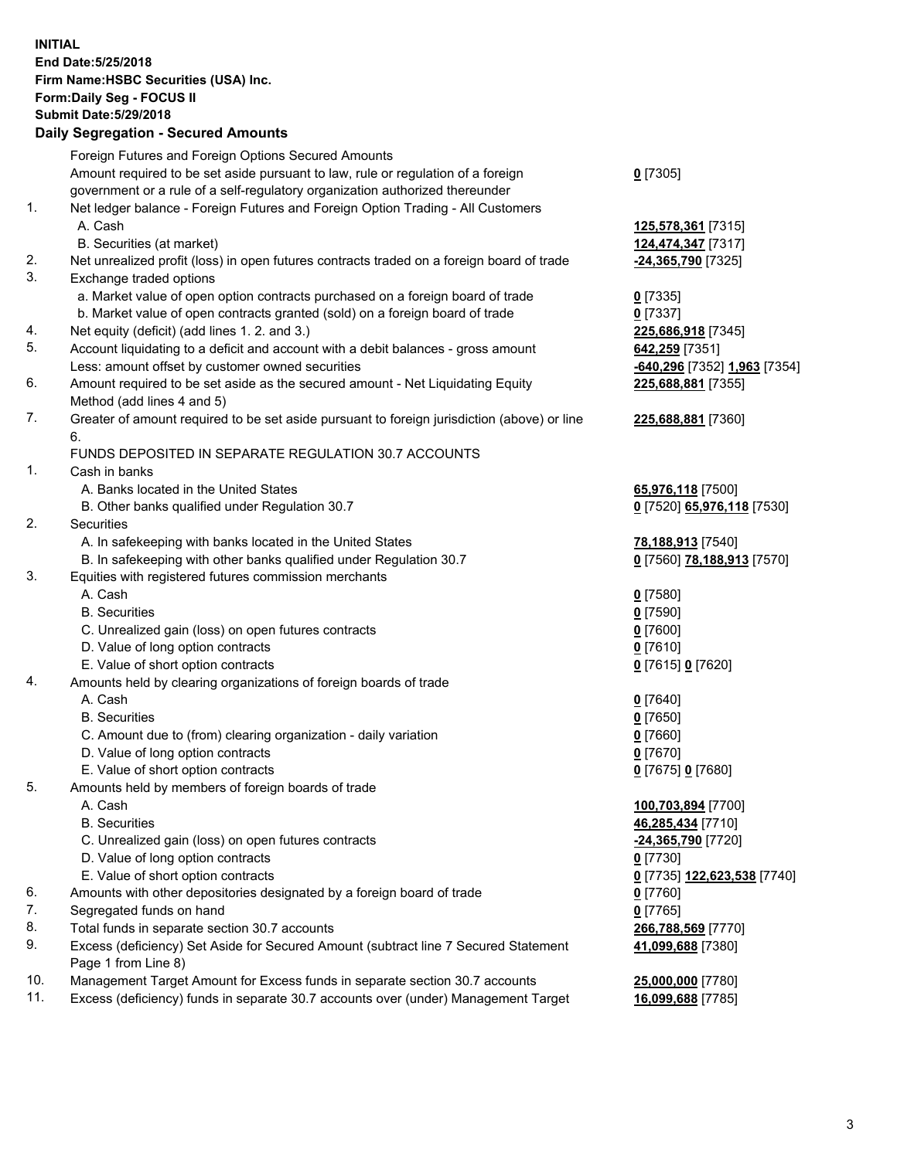**INITIAL End Date:5/25/2018 Firm Name:HSBC Securities (USA) Inc. Form:Daily Seg - FOCUS II Submit Date:5/29/2018 Daily Segregation - Secured Amounts**

Foreign Futures and Foreign Options Secured Amounts Amount required to be set aside pursuant to law, rule or regulation of a foreign government or a rule of a self-regulatory organization authorized thereunder **0** [7305] 1. Net ledger balance - Foreign Futures and Foreign Option Trading - All Customers A. Cash **125,578,361** [7315] B. Securities (at market) **124,474,347** [7317] 2. Net unrealized profit (loss) in open futures contracts traded on a foreign board of trade **-24,365,790** [7325] 3. Exchange traded options a. Market value of open option contracts purchased on a foreign board of trade **0** [7335] b. Market value of open contracts granted (sold) on a foreign board of trade **0** [7337] 4. Net equity (deficit) (add lines 1. 2. and 3.) **225,686,918** [7345] 5. Account liquidating to a deficit and account with a debit balances - gross amount **642,259** [7351] Less: amount offset by customer owned securities **-640,296** [7352] **1,963** [7354] 6. Amount required to be set aside as the secured amount - Net Liquidating Equity Method (add lines 4 and 5) **225,688,881** [7355] 7. Greater of amount required to be set aside pursuant to foreign jurisdiction (above) or line 6. **225,688,881** [7360] FUNDS DEPOSITED IN SEPARATE REGULATION 30.7 ACCOUNTS 1. Cash in banks A. Banks located in the United States **65,976,118** [7500] B. Other banks qualified under Regulation 30.7 **0** [7520] **65,976,118** [7530] 2. Securities A. In safekeeping with banks located in the United States **78,188,913** [7540] B. In safekeeping with other banks qualified under Regulation 30.7 **0** [7560] **78,188,913** [7570] 3. Equities with registered futures commission merchants A. Cash **0** [7580] B. Securities **0** [7590] C. Unrealized gain (loss) on open futures contracts **0** [7600] D. Value of long option contracts **0** [7610] E. Value of short option contracts **0** [7615] **0** [7620] 4. Amounts held by clearing organizations of foreign boards of trade A. Cash **0** [7640] B. Securities **0** [7650] C. Amount due to (from) clearing organization - daily variation **0** [7660] D. Value of long option contracts **0** [7670] E. Value of short option contracts **0** [7675] **0** [7680] 5. Amounts held by members of foreign boards of trade A. Cash **100,703,894** [7700] B. Securities **46,285,434** [7710] C. Unrealized gain (loss) on open futures contracts **-24,365,790** [7720] D. Value of long option contracts **0** [7730] E. Value of short option contracts **0** [7735] **122,623,538** [7740] 6. Amounts with other depositories designated by a foreign board of trade **0** [7760] 7. Segregated funds on hand **0** [7765] 8. Total funds in separate section 30.7 accounts **266,788,569** [7770] 9. Excess (deficiency) Set Aside for Secured Amount (subtract line 7 Secured Statement Page 1 from Line 8) **41,099,688** [7380] 10. Management Target Amount for Excess funds in separate section 30.7 accounts **25,000,000** [7780] 11. Excess (deficiency) funds in separate 30.7 accounts over (under) Management Target **16,099,688** [7785]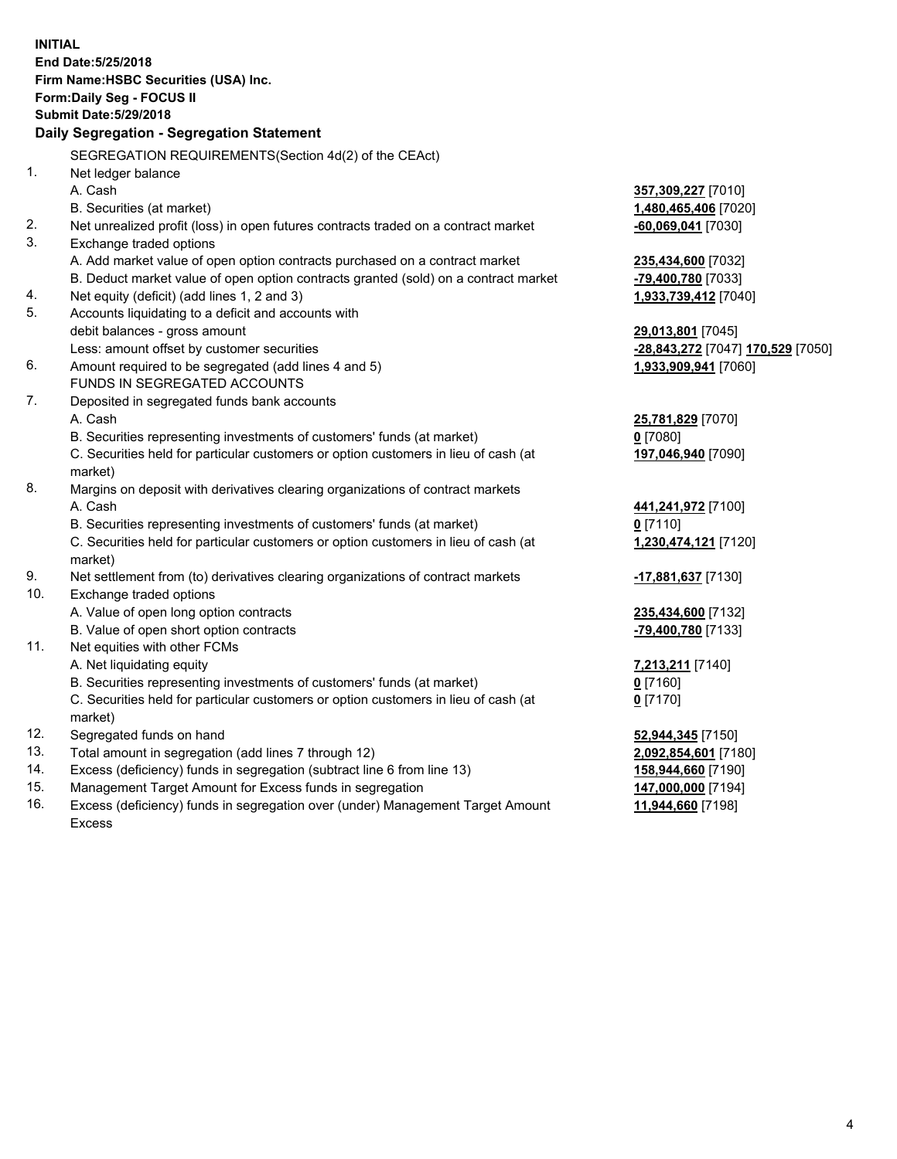**INITIAL End Date:5/25/2018 Firm Name:HSBC Securities (USA) Inc. Form:Daily Seg - FOCUS II Submit Date:5/29/2018 Daily Segregation - Segregation Statement** SEGREGATION REQUIREMENTS(Section 4d(2) of the CEAct) 1. Net ledger balance A. Cash **357,309,227** [7010] B. Securities (at market) **1,480,465,406** [7020] 2. Net unrealized profit (loss) in open futures contracts traded on a contract market **-60,069,041** [7030] 3. Exchange traded options A. Add market value of open option contracts purchased on a contract market **235,434,600** [7032] B. Deduct market value of open option contracts granted (sold) on a contract market **-79,400,780** [7033] 4. Net equity (deficit) (add lines 1, 2 and 3) **1,933,739,412** [7040] 5. Accounts liquidating to a deficit and accounts with debit balances - gross amount **29,013,801** [7045] Less: amount offset by customer securities **-28,843,272** [7047] **170,529** [7050] 6. Amount required to be segregated (add lines 4 and 5) **1,933,909,941** [7060] FUNDS IN SEGREGATED ACCOUNTS 7. Deposited in segregated funds bank accounts A. Cash **25,781,829** [7070] B. Securities representing investments of customers' funds (at market) **0** [7080] C. Securities held for particular customers or option customers in lieu of cash (at market) **197,046,940** [7090] 8. Margins on deposit with derivatives clearing organizations of contract markets A. Cash **441,241,972** [7100] B. Securities representing investments of customers' funds (at market) **0** [7110] C. Securities held for particular customers or option customers in lieu of cash (at market) **1,230,474,121** [7120] 9. Net settlement from (to) derivatives clearing organizations of contract markets **-17,881,637** [7130] 10. Exchange traded options A. Value of open long option contracts **235,434,600** [7132] B. Value of open short option contracts **-79,400,780** [7133] 11. Net equities with other FCMs A. Net liquidating equity **7,213,211** [7140] B. Securities representing investments of customers' funds (at market) **0** [7160] C. Securities held for particular customers or option customers in lieu of cash (at market) **0** [7170] 12. Segregated funds on hand **52,944,345** [7150] 13. Total amount in segregation (add lines 7 through 12) **2,092,854,601** [7180] 14. Excess (deficiency) funds in segregation (subtract line 6 from line 13) **158,944,660** [7190] 15. Management Target Amount for Excess funds in segregation **147,000,000** [7194]

16. Excess (deficiency) funds in segregation over (under) Management Target Amount Excess

**11,944,660** [7198]